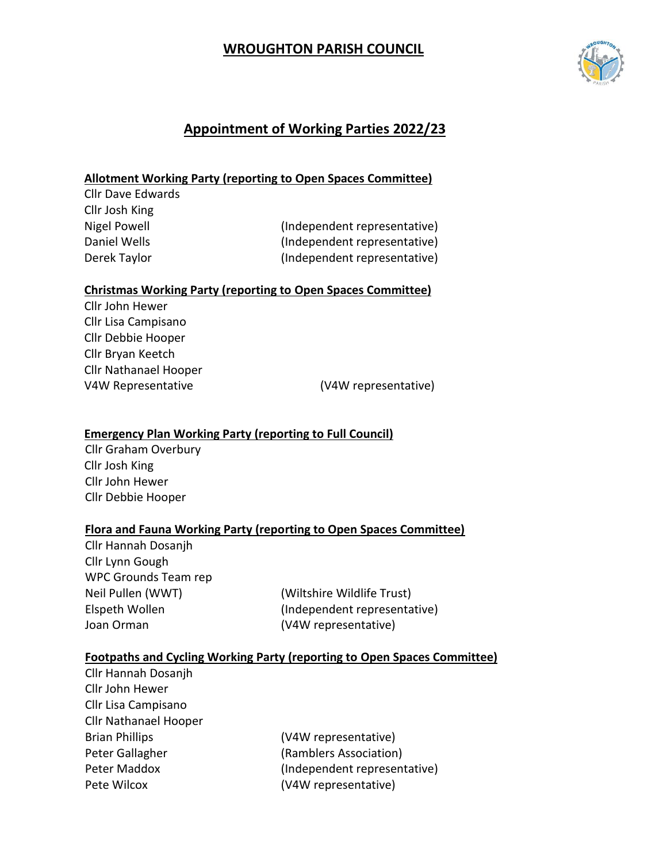# **WROUGHTON PARISH COUNCIL**



# **Appointment of Working Parties 2022/23**

# **Allotment Working Party (reporting to Open Spaces Committee)**

| (Independent representative) |
|------------------------------|
| (Independent representative) |
| (Independent representative) |
|                              |

Derek Taylor (Independent representative)

### **Christmas Working Party (reporting to Open Spaces Committee)**

Cllr John Hewer Cllr Lisa Campisano Cllr Debbie Hooper Cllr Bryan Keetch Cllr Nathanael Hooper V4W Representative (V4W representative)

## **Emergency Plan Working Party (reporting to Full Council)**

Cllr Graham Overbury Cllr Josh King Cllr John Hewer Cllr Debbie Hooper

### **Flora and Fauna Working Party (reporting to Open Spaces Committee)**

Cllr Hannah Dosanjh Cllr Lynn Gough WPC Grounds Team rep Neil Pullen (WWT) (Wiltshire Wildlife Trust) Joan Orman (V4W representative)

Elspeth Wollen (Independent representative)

### **Footpaths and Cycling Working Party (reporting to Open Spaces Committee)**

| Cllr Hannah Dosanjh          |                              |
|------------------------------|------------------------------|
| Cllr John Hewer              |                              |
| Cllr Lisa Campisano          |                              |
| <b>Cllr Nathanael Hooper</b> |                              |
| <b>Brian Phillips</b>        | (V4W representative)         |
| Peter Gallagher              | (Ramblers Association)       |
| Peter Maddox                 | (Independent representative) |
| Pete Wilcox                  | (V4W representative)         |
|                              |                              |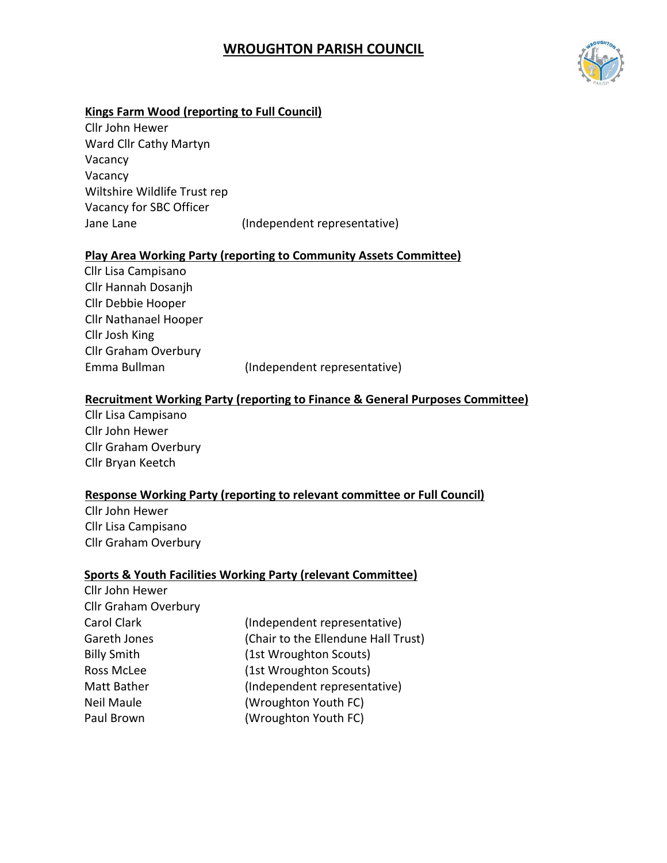# **WROUGHTON PARISH COUNCIL**



# **Kings Farm Wood (reporting to Full Council)**

Cllr John Hewer Ward Cllr Cathy Martyn Vacancy Vacancy Wiltshire Wildlife Trust rep Vacancy for SBC Officer Jane Lane (Independent representative)

#### **Play Area Working Party (reporting to Community Assets Committee)**

Cllr Lisa Campisano Cllr Hannah Dosanjh Cllr Debbie Hooper Cllr Nathanael Hooper Cllr Josh King Cllr Graham Overbury Emma Bullman (Independent representative)

#### **Recruitment Working Party (reporting to Finance & General Purposes Committee)**

Cllr Lisa Campisano Cllr John Hewer Cllr Graham Overbury Cllr Bryan Keetch

#### **Response Working Party (reporting to relevant committee or Full Council)**

Cllr John Hewer Cllr Lisa Campisano Cllr Graham Overbury

### **Sports & Youth Facilities Working Party (relevant Committee)**

| Cllr John Hewer             |                                     |
|-----------------------------|-------------------------------------|
| <b>Cllr Graham Overbury</b> |                                     |
| Carol Clark                 | (Independent representative)        |
| Gareth Jones                | (Chair to the Ellendune Hall Trust) |
| <b>Billy Smith</b>          | (1st Wroughton Scouts)              |
| Ross McLee                  | (1st Wroughton Scouts)              |
| Matt Bather                 | (Independent representative)        |
| Neil Maule                  | (Wroughton Youth FC)                |
| Paul Brown                  | (Wroughton Youth FC)                |
|                             |                                     |